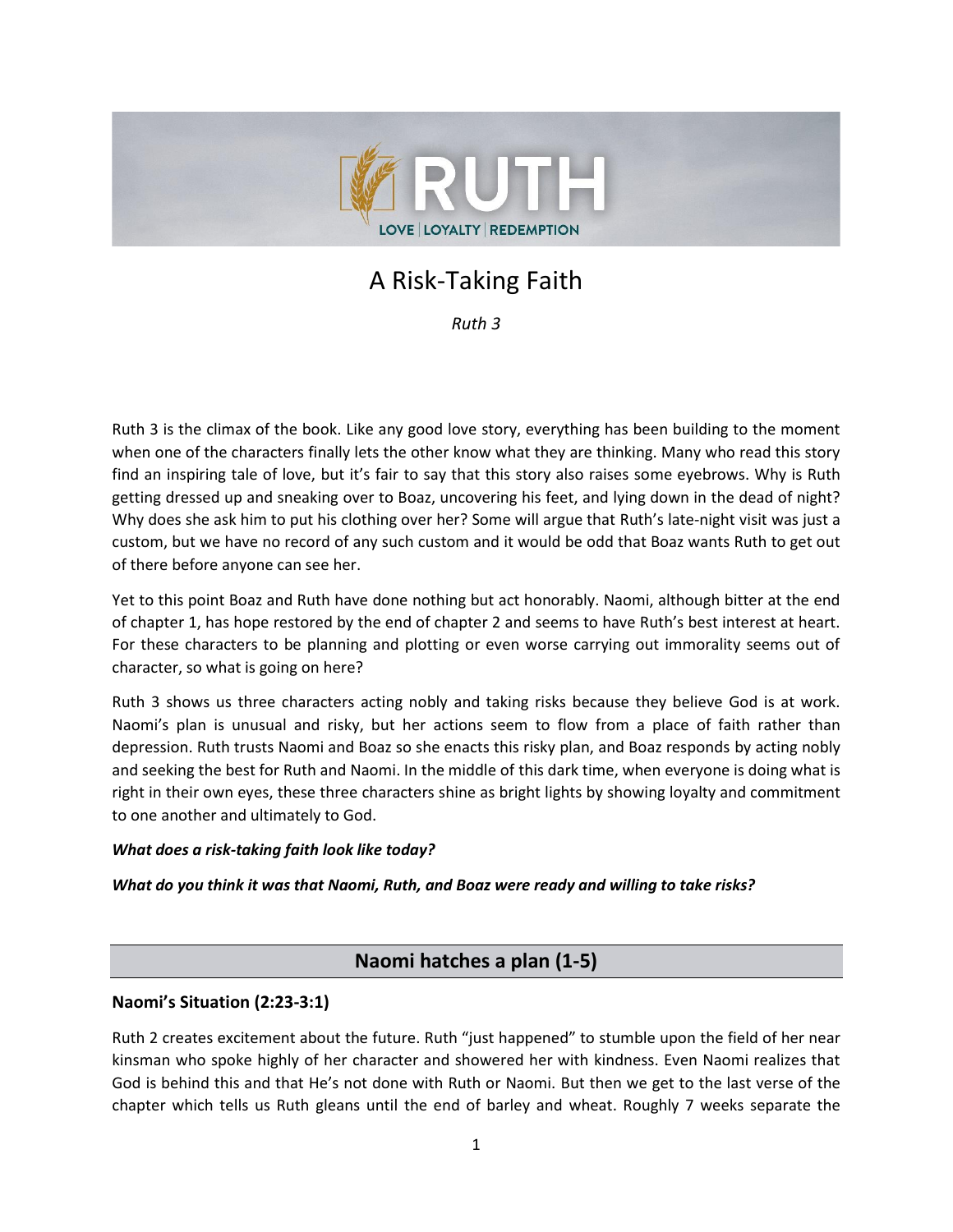

# A Risk-Taking Faith

*Ruth 3*

Ruth 3 is the climax of the book. Like any good love story, everything has been building to the moment when one of the characters finally lets the other know what they are thinking. Many who read this story find an inspiring tale of love, but it's fair to say that this story also raises some eyebrows. Why is Ruth getting dressed up and sneaking over to Boaz, uncovering his feet, and lying down in the dead of night? Why does she ask him to put his clothing over her? Some will argue that Ruth's late-night visit was just a custom, but we have no record of any such custom and it would be odd that Boaz wants Ruth to get out of there before anyone can see her.

Yet to this point Boaz and Ruth have done nothing but act honorably. Naomi, although bitter at the end of chapter 1, has hope restored by the end of chapter 2 and seems to have Ruth's best interest at heart. For these characters to be planning and plotting or even worse carrying out immorality seems out of character, so what is going on here?

Ruth 3 shows us three characters acting nobly and taking risks because they believe God is at work. Naomi's plan is unusual and risky, but her actions seem to flow from a place of faith rather than depression. Ruth trusts Naomi and Boaz so she enacts this risky plan, and Boaz responds by acting nobly and seeking the best for Ruth and Naomi. In the middle of this dark time, when everyone is doing what is right in their own eyes, these three characters shine as bright lights by showing loyalty and commitment to one another and ultimately to God.

#### *What does a risk-taking faith look like today?*

#### *What do you think it was that Naomi, Ruth, and Boaz were ready and willing to take risks?*

# **Naomi hatches a plan (1-5)**

#### **Naomi's Situation (2:23-3:1)**

Ruth 2 creates excitement about the future. Ruth "just happened" to stumble upon the field of her near kinsman who spoke highly of her character and showered her with kindness. Even Naomi realizes that God is behind this and that He's not done with Ruth or Naomi. But then we get to the last verse of the chapter which tells us Ruth gleans until the end of barley and wheat. Roughly 7 weeks separate the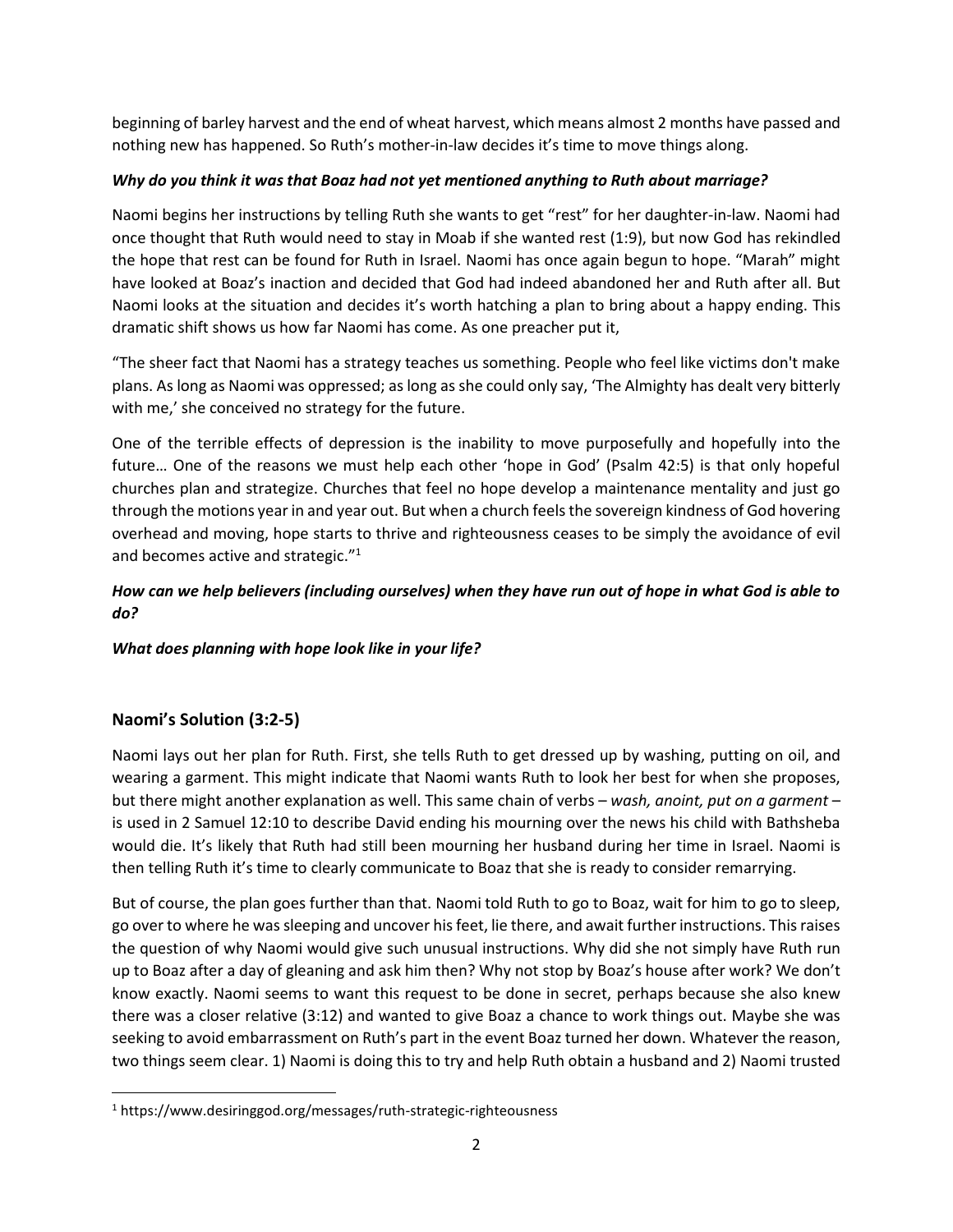beginning of barley harvest and the end of wheat harvest, which means almost 2 months have passed and nothing new has happened. So Ruth's mother-in-law decides it's time to move things along.

### *Why do you think it was that Boaz had not yet mentioned anything to Ruth about marriage?*

Naomi begins her instructions by telling Ruth she wants to get "rest" for her daughter-in-law. Naomi had once thought that Ruth would need to stay in Moab if she wanted rest (1:9), but now God has rekindled the hope that rest can be found for Ruth in Israel. Naomi has once again begun to hope. "Marah" might have looked at Boaz's inaction and decided that God had indeed abandoned her and Ruth after all. But Naomi looks at the situation and decides it's worth hatching a plan to bring about a happy ending. This dramatic shift shows us how far Naomi has come. As one preacher put it,

"The sheer fact that Naomi has a strategy teaches us something. People who feel like victims don't make plans. As long as Naomi was oppressed; as long as she could only say, 'The Almighty has dealt very bitterly with me,' she conceived no strategy for the future.

One of the terrible effects of depression is the inability to move purposefully and hopefully into the future… One of the reasons we must help each other 'hope in God' (Psalm 42:5) is that only hopeful churches plan and strategize. Churches that feel no hope develop a maintenance mentality and just go through the motions year in and year out. But when a church feels the sovereign kindness of God hovering overhead and moving, hope starts to thrive and righteousness ceases to be simply the avoidance of evil and becomes active and strategic."<sup>1</sup>

# *How can we help believers (including ourselves) when they have run out of hope in what God is able to do?*

#### *What does planning with hope look like in your life?*

# **Naomi's Solution (3:2-5)**

Naomi lays out her plan for Ruth. First, she tells Ruth to get dressed up by washing, putting on oil, and wearing a garment. This might indicate that Naomi wants Ruth to look her best for when she proposes, but there might another explanation as well. This same chain of verbs – *wash, anoint, put on a garment* – is used in 2 Samuel 12:10 to describe David ending his mourning over the news his child with Bathsheba would die. It's likely that Ruth had still been mourning her husband during her time in Israel. Naomi is then telling Ruth it's time to clearly communicate to Boaz that she is ready to consider remarrying.

But of course, the plan goes further than that. Naomi told Ruth to go to Boaz, wait for him to go to sleep, go over to where he was sleeping and uncover his feet, lie there, and await further instructions. This raises the question of why Naomi would give such unusual instructions. Why did she not simply have Ruth run up to Boaz after a day of gleaning and ask him then? Why not stop by Boaz's house after work? We don't know exactly. Naomi seems to want this request to be done in secret, perhaps because she also knew there was a closer relative (3:12) and wanted to give Boaz a chance to work things out. Maybe she was seeking to avoid embarrassment on Ruth's part in the event Boaz turned her down. Whatever the reason, two things seem clear. 1) Naomi is doing this to try and help Ruth obtain a husband and 2) Naomi trusted

<sup>1</sup> https://www.desiringgod.org/messages/ruth-strategic-righteousness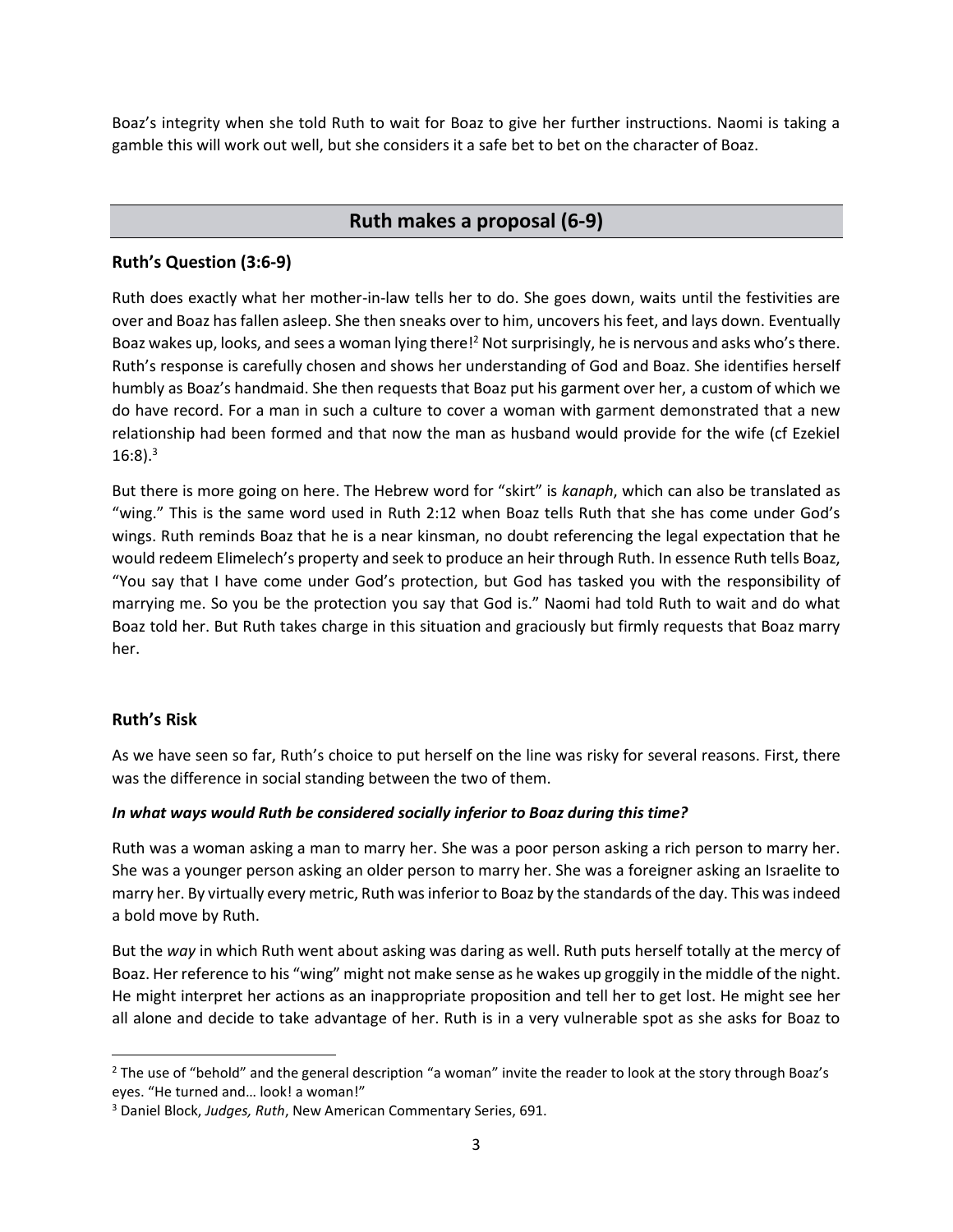Boaz's integrity when she told Ruth to wait for Boaz to give her further instructions. Naomi is taking a gamble this will work out well, but she considers it a safe bet to bet on the character of Boaz.

# **Ruth makes a proposal (6-9)**

# **Ruth's Question (3:6-9)**

Ruth does exactly what her mother-in-law tells her to do. She goes down, waits until the festivities are over and Boaz has fallen asleep. She then sneaks over to him, uncovers his feet, and lays down. Eventually Boaz wakes up, looks, and sees a woman lying there!<sup>2</sup> Not surprisingly, he is nervous and asks who's there. Ruth's response is carefully chosen and shows her understanding of God and Boaz. She identifies herself humbly as Boaz's handmaid. She then requests that Boaz put his garment over her, a custom of which we do have record. For a man in such a culture to cover a woman with garment demonstrated that a new relationship had been formed and that now the man as husband would provide for the wife (cf Ezekiel  $16:8$ ).<sup>3</sup>

But there is more going on here. The Hebrew word for "skirt" is *kanaph*, which can also be translated as "wing." This is the same word used in Ruth 2:12 when Boaz tells Ruth that she has come under God's wings. Ruth reminds Boaz that he is a near kinsman, no doubt referencing the legal expectation that he would redeem Elimelech's property and seek to produce an heir through Ruth. In essence Ruth tells Boaz, "You say that I have come under God's protection, but God has tasked you with the responsibility of marrying me. So you be the protection you say that God is." Naomi had told Ruth to wait and do what Boaz told her. But Ruth takes charge in this situation and graciously but firmly requests that Boaz marry her.

#### **Ruth's Risk**

As we have seen so far, Ruth's choice to put herself on the line was risky for several reasons. First, there was the difference in social standing between the two of them.

#### *In what ways would Ruth be considered socially inferior to Boaz during this time?*

Ruth was a woman asking a man to marry her. She was a poor person asking a rich person to marry her. She was a younger person asking an older person to marry her. She was a foreigner asking an Israelite to marry her. By virtually every metric, Ruth was inferior to Boaz by the standards of the day. This was indeed a bold move by Ruth.

But the *way* in which Ruth went about asking was daring as well. Ruth puts herself totally at the mercy of Boaz. Her reference to his "wing" might not make sense as he wakes up groggily in the middle of the night. He might interpret her actions as an inappropriate proposition and tell her to get lost. He might see her all alone and decide to take advantage of her. Ruth is in a very vulnerable spot as she asks for Boaz to

<sup>&</sup>lt;sup>2</sup> The use of "behold" and the general description "a woman" invite the reader to look at the story through Boaz's eyes. "He turned and… look! a woman!"

<sup>3</sup> Daniel Block, *Judges, Ruth*, New American Commentary Series, 691.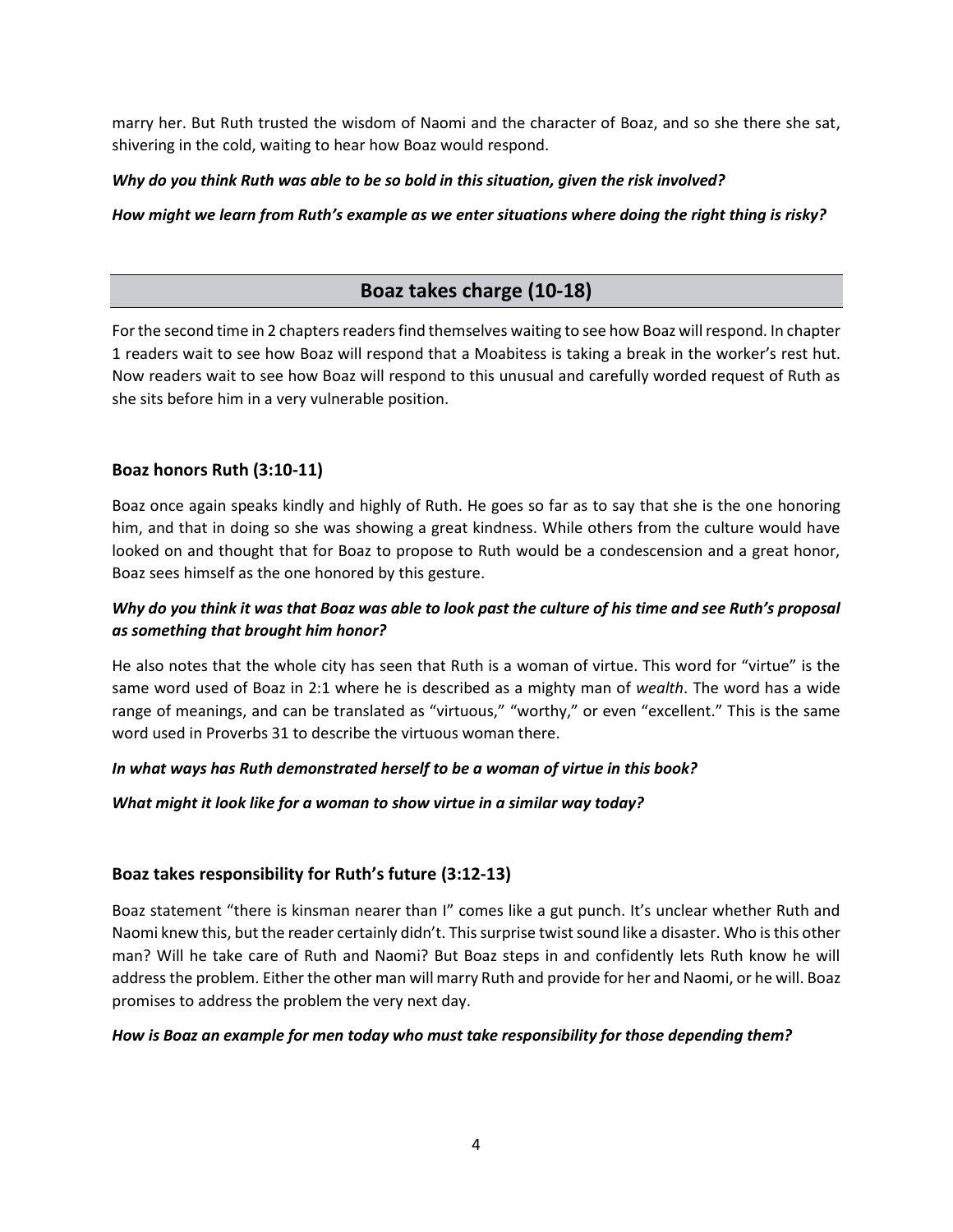marry her. But Ruth trusted the wisdom of Naomi and the character of Boaz, and so she there she sat, shivering in the cold, waiting to hear how Boaz would respond.

#### *Why do you think Ruth was able to be so bold in this situation, given the risk involved?*

#### *How might we learn from Ruth's example as we enter situations where doing the right thing is risky?*

# **Boaz takes charge (10-18)**

For the second time in 2 chapters readers find themselves waiting to see how Boaz will respond. In chapter 1 readers wait to see how Boaz will respond that a Moabitess is taking a break in the worker's rest hut. Now readers wait to see how Boaz will respond to this unusual and carefully worded request of Ruth as she sits before him in a very vulnerable position.

## **Boaz honors Ruth (3:10-11)**

Boaz once again speaks kindly and highly of Ruth. He goes so far as to say that she is the one honoring him, and that in doing so she was showing a great kindness. While others from the culture would have looked on and thought that for Boaz to propose to Ruth would be a condescension and a great honor, Boaz sees himself as the one honored by this gesture.

# *Why do you think it was that Boaz was able to look past the culture of his time and see Ruth's proposal as something that brought him honor?*

He also notes that the whole city has seen that Ruth is a woman of virtue. This word for "virtue" is the same word used of Boaz in 2:1 where he is described as a mighty man of *wealth*. The word has a wide range of meanings, and can be translated as "virtuous," "worthy," or even "excellent." This is the same word used in Proverbs 31 to describe the virtuous woman there.

#### *In what ways has Ruth demonstrated herself to be a woman of virtue in this book?*

*What might it look like for a woman to show virtue in a similar way today?*

#### **Boaz takes responsibility for Ruth's future (3:12-13)**

Boaz statement "there is kinsman nearer than I" comes like a gut punch. It's unclear whether Ruth and Naomi knew this, but the reader certainly didn't. This surprise twist sound like a disaster. Who is this other man? Will he take care of Ruth and Naomi? But Boaz steps in and confidently lets Ruth know he will address the problem. Either the other man will marry Ruth and provide for her and Naomi, or he will. Boaz promises to address the problem the very next day.

#### *How is Boaz an example for men today who must take responsibility for those depending them?*